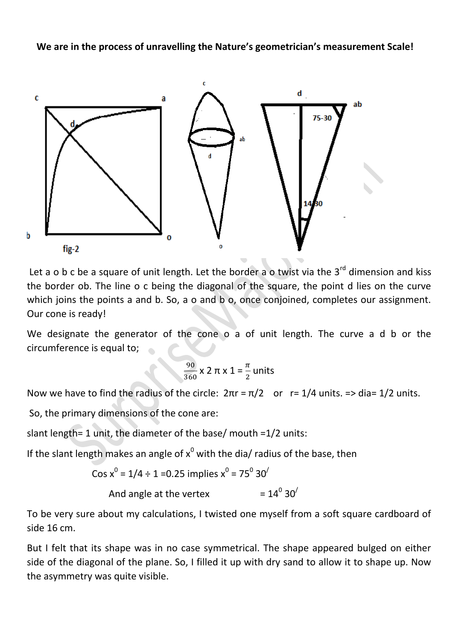**We are in the process of unravelling the Nature's geometrician's measurement Scale!**



Let a o b c be a square of unit length. Let the border a o twist via the  $3^{rd}$  dimension and kiss the border ob. The line o c being the diagonal of the square, the point d lies on the curve which joins the points a and b. So, a o and b o, once conjoined, completes our assignment. Our cone is ready!

We designate the generator of the cone o a of unit length. The curve a d b or the circumference is equal to;

$$
\frac{90}{360} \times 2 \pi \times 1 = \frac{\pi}{2}
$$
 units

Now we have to find the radius of the circle:  $2\pi r = \pi/2$  or  $r = 1/4$  units. => dia= 1/2 units.

So, the primary dimensions of the cone are:

slant length= 1 unit, the diameter of the base/ mouth =1/2 units:

If the slant length makes an angle of  $x^0$  with the dia/ radius of the base, then

$$
Cos x^0 = 1/4 \div 1 = 0.25
$$
 implies  $x^0 = 75^0 30^7$ 

And angle at the vertex  $=14^{0}30^{/}$ 

To be very sure about my calculations, I twisted one myself from a soft square cardboard of side 16 cm.

But I felt that its shape was in no case symmetrical. The shape appeared bulged on either side of the diagonal of the plane. So, I filled it up with dry sand to allow it to shape up. Now the asymmetry was quite visible.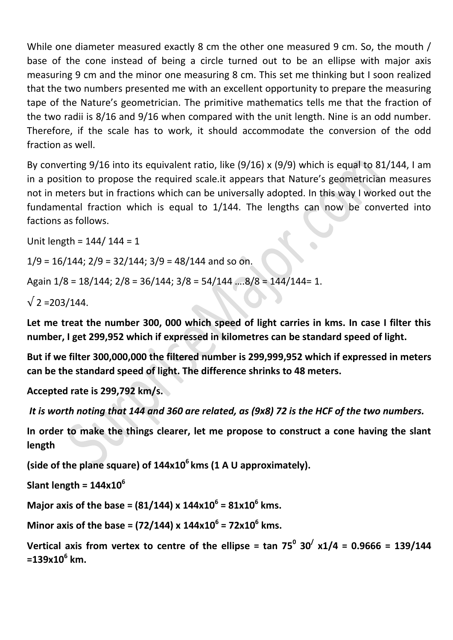While one diameter measured exactly 8 cm the other one measured 9 cm. So, the mouth / base of the cone instead of being a circle turned out to be an ellipse with major axis measuring 9 cm and the minor one measuring 8 cm. This set me thinking but I soon realized that the two numbers presented me with an excellent opportunity to prepare the measuring tape of the Nature's geometrician. The primitive mathematics tells me that the fraction of the two radii is 8/16 and 9/16 when compared with the unit length. Nine is an odd number. Therefore, if the scale has to work, it should accommodate the conversion of the odd fraction as well.

By converting 9/16 into its equivalent ratio, like (9/16) x (9/9) which is equal to 81/144, I am in a position to propose the required scale.it appears that Nature's geometrician measures not in meters but in fractions which can be universally adopted. In this way I worked out the fundamental fraction which is equal to 1/144. The lengths can now be converted into factions as follows.

Unit length = 144/ 144 = 1

 $1/9 = 16/144$ ;  $2/9 = 32/144$ ;  $3/9 = 48/144$  and so on.

Again 1/8 = 18/144; 2/8 = 36/144; 3/8 = 54/144 ….8/8 = 144/144= 1.

 $\sqrt{2} = 203/144$ .

**Let me treat the number 300, 000 which speed of light carries in kms. In case I filter this number, I get 299,952 which if expressed in kilometres can be standard speed of light.**

**But if we filter 300,000,000 the filtered number is 299,999,952 which if expressed in meters can be the standard speed of light. The difference shrinks to 48 meters.**

**Accepted rate is 299,792 km/s.** 

*It is worth noting that 144 and 360 are related, as (9x8) 72 is the HCF of the two numbers.*

**In order to make the things clearer, let me propose to construct a cone having the slant length** 

**(side of the plane square) of 144x10<sup>6</sup>kms (1 A U approximately).**

**Slant length = 144x10<sup>6</sup>**

**Major axis of the base = (81/144) x 144x10<sup>6</sup> = 81x10<sup>6</sup> kms.**

**Minor axis of the base = (72/144) x 144x10<sup>6</sup> = 72x10<sup>6</sup> kms.**

**Vertical axis from vertex to centre of the ellipse = tan 75<sup>0</sup> 30/ x1/4 = 0.9666 = 139/144 =139x10<sup>6</sup> km.**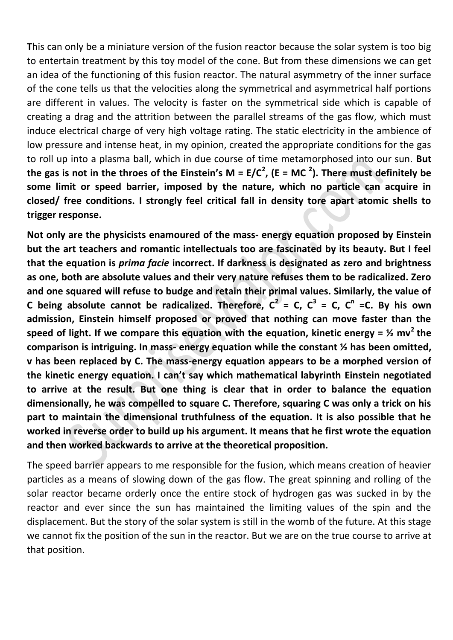**T**his can only be a miniature version of the fusion reactor because the solar system is too big to entertain treatment by this toy model of the cone. But from these dimensions we can get an idea of the functioning of this fusion reactor. The natural asymmetry of the inner surface of the cone tells us that the velocities along the symmetrical and asymmetrical half portions are different in values. The velocity is faster on the symmetrical side which is capable of creating a drag and the attrition between the parallel streams of the gas flow, which must induce electrical charge of very high voltage rating. The static electricity in the ambience of low pressure and intense heat, in my opinion, created the appropriate conditions for the gas to roll up into a plasma ball, which in due course of time metamorphosed into our sun. **But the gas is not in the throes of the Einstein's M = E/C<sup>2</sup> , (E = MC <sup>2</sup> ). There must definitely be some limit or speed barrier, imposed by the nature, which no particle can acquire in closed/ free conditions. I strongly feel critical fall in density tore apart atomic shells to trigger response.**

**Not only are the physicists enamoured of the mass- energy equation proposed by Einstein but the art teachers and romantic intellectuals too are fascinated by its beauty. But I feel that the equation is** *prima facie* **incorrect. If darkness is designated as zero and brightness as one, both are absolute values and their very nature refuses them to be radicalized. Zero and one squared will refuse to budge and retain their primal values. Similarly, the value of C** being absolute cannot be radicalized. Therefore,  $C^2 = C$ ,  $C^3 = C$ ,  $C^n = C$ . By his own **admission, Einstein himself proposed or proved that nothing can move faster than the**  speed of light. If we compare this equation with the equation, kinetic energy =  $\frac{1}{2}$  mv<sup>2</sup> the **comparison is intriguing. In mass- energy equation while the constant ½ has been omitted, v has been replaced by C. The mass-energy equation appears to be a morphed version of the kinetic energy equation. I can't say which mathematical labyrinth Einstein negotiated to arrive at the result. But one thing is clear that in order to balance the equation dimensionally, he was compelled to square C. Therefore, squaring C was only a trick on his part to maintain the dimensional truthfulness of the equation. It is also possible that he worked in reverse order to build up his argument. It means that he first wrote the equation and then worked backwards to arrive at the theoretical proposition.**

The speed barrier appears to me responsible for the fusion, which means creation of heavier particles as a means of slowing down of the gas flow. The great spinning and rolling of the solar reactor became orderly once the entire stock of hydrogen gas was sucked in by the reactor and ever since the sun has maintained the limiting values of the spin and the displacement. But the story of the solar system is still in the womb of the future. At this stage we cannot fix the position of the sun in the reactor. But we are on the true course to arrive at that position.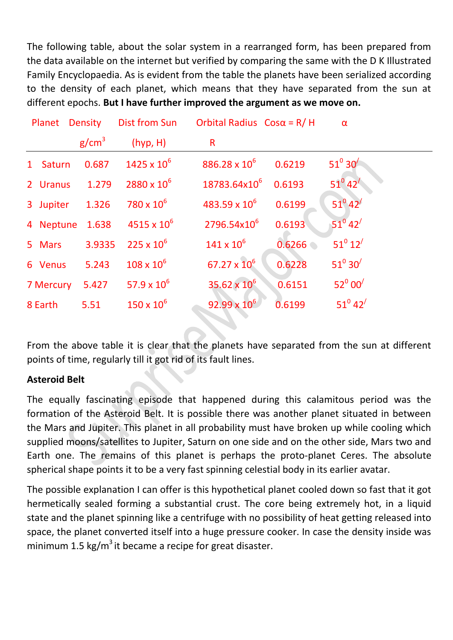The following table, about the solar system in a rearranged form, has been prepared from the data available on the internet but verified by comparing the same with the D K Illustrated Family Encyclopaedia. As is evident from the table the planets have been serialized according to the density of each planet, which means that they have separated from the sun at different epochs. **But I have further improved the argument as we move on.**

|           | Planet Density    | Dist from Sun        | Orbital Radius $Cos \alpha = R/H$ |        | $\alpha$                    |  |
|-----------|-------------------|----------------------|-----------------------------------|--------|-----------------------------|--|
|           | g/cm <sup>3</sup> | (hyp, H)             | R                                 |        |                             |  |
| 1 Saturn  | 0.687             | $1425 \times 10^{6}$ | $886.28 \times 10^6$              | 0.6219 | $51^{\circ} 30'$            |  |
| 2 Uranus  | 1.279             | $2880 \times 10^6$   | 18783.64x10 <sup>6</sup>          | 0.6193 | $51^0 42'$                  |  |
| 3 Jupiter | 1.326             | $780\times10^6$      | $483.59 \times 10^6$              | 0.6199 | $51^0 42'$                  |  |
|           | 4 Neptune 1.638   | $4515 \times 10^{6}$ | 2796.54x10 <sup>6</sup>           | 0.6193 | $51^0$ 42 <sup>/</sup>      |  |
| 5 Mars    | 3.9335            | $225 \times 10^6$    | $141 \times 10^{6}$               | 0.6266 | $51^0 12'$                  |  |
| 6 Venus   | 5.243             | $108\times10^6$      | $67.27 \times 10^6$               | 0.6228 | $51^{\circ} 30'$            |  |
| 7 Mercury | 5.427             | 57.9 x $10^6$        | $35.62 \times 10^6$               | 0.6151 | $52^{\circ}$ 00 $^{\prime}$ |  |
| 8 Earth   | 5.51              | $150 \times 10^{6}$  | $92.99 \times 10^6$               | 0.6199 | $51^0 42'$                  |  |

From the above table it is clear that the planets have separated from the sun at different points of time, regularly till it got rid of its fault lines.

S.

## **Asteroid Belt**

The equally fascinating episode that happened during this calamitous period was the formation of the Asteroid Belt. It is possible there was another planet situated in between the Mars and Jupiter. This planet in all probability must have broken up while cooling which supplied moons/satellites to Jupiter, Saturn on one side and on the other side, Mars two and Earth one. The remains of this planet is perhaps the proto-planet Ceres. The absolute spherical shape points it to be a very fast spinning celestial body in its earlier avatar.

The possible explanation I can offer is this hypothetical planet cooled down so fast that it got hermetically sealed forming a substantial crust. The core being extremely hot, in a liquid state and the planet spinning like a centrifuge with no possibility of heat getting released into space, the planet converted itself into a huge pressure cooker. In case the density inside was minimum 1.5 kg/ $m^3$  it became a recipe for great disaster.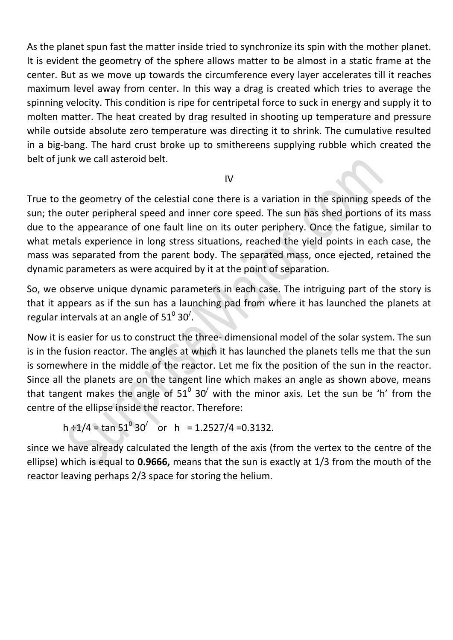As the planet spun fast the matter inside tried to synchronize its spin with the mother planet. It is evident the geometry of the sphere allows matter to be almost in a static frame at the center. But as we move up towards the circumference every layer accelerates till it reaches maximum level away from center. In this way a drag is created which tries to average the spinning velocity. This condition is ripe for centripetal force to suck in energy and supply it to molten matter. The heat created by drag resulted in shooting up temperature and pressure while outside absolute zero temperature was directing it to shrink. The cumulative resulted in a big-bang. The hard crust broke up to smithereens supplying rubble which created the belt of junk we call asteroid belt.

### IV

True to the geometry of the celestial cone there is a variation in the spinning speeds of the sun; the outer peripheral speed and inner core speed. The sun has shed portions of its mass due to the appearance of one fault line on its outer periphery. Once the fatigue, similar to what metals experience in long stress situations, reached the yield points in each case, the mass was separated from the parent body. The separated mass, once ejected, retained the dynamic parameters as were acquired by it at the point of separation.

So, we observe unique dynamic parameters in each case. The intriguing part of the story is that it appears as if the sun has a launching pad from where it has launched the planets at regular intervals at an angle of 51 $^{\rm 0}$  30<sup>/</sup>.

Now it is easier for us to construct the three- dimensional model of the solar system. The sun is in the fusion reactor. The angles at which it has launched the planets tells me that the sun is somewhere in the middle of the reactor. Let me fix the position of the sun in the reactor. Since all the planets are on the tangent line which makes an angle as shown above, means that tangent makes the angle of 51<sup>0</sup> 30<sup>/</sup> with the minor axis. Let the sun be 'h' from the centre of the ellipse inside the reactor. Therefore:

h ÷1/4 = tan  $51^{\circ}$  30<sup> $\prime$ </sup> or h = 1.2527/4 =0.3132.

since we have already calculated the length of the axis (from the vertex to the centre of the ellipse) which is equal to **0.9666,** means that the sun is exactly at 1/3 from the mouth of the reactor leaving perhaps 2/3 space for storing the helium.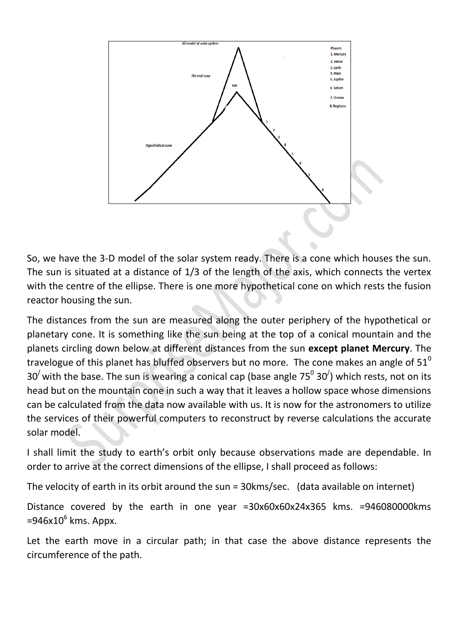

So, we have the 3-D model of the solar system ready. There is a cone which houses the sun. The sun is situated at a distance of 1/3 of the length of the axis, which connects the vertex with the centre of the ellipse. There is one more hypothetical cone on which rests the fusion reactor housing the sun.

The distances from the sun are measured along the outer periphery of the hypothetical or planetary cone. It is something like the sun being at the top of a conical mountain and the planets circling down below at different distances from the sun **except planet Mercury**. The travelogue of this planet has bluffed observers but no more. The cone makes an angle of  $51^{\circ}$ 30<sup> $\prime$ </sup> with the base. The sun is wearing a conical cap (base angle 75<sup>0</sup> 30<sup> $\prime$ </sup>) which rests, not on its head but on the mountain cone in such a way that it leaves a hollow space whose dimensions can be calculated from the data now available with us. It is now for the astronomers to utilize the services of their powerful computers to reconstruct by reverse calculations the accurate solar model.

I shall limit the study to earth's orbit only because observations made are dependable. In order to arrive at the correct dimensions of the ellipse, I shall proceed as follows:

The velocity of earth in its orbit around the sun = 30kms/sec. (data available on internet)

Distance covered by the earth in one year =30x60x60x24x365 kms. =946080000kms =946x10<sup>6</sup> kms. Appx.

Let the earth move in a circular path; in that case the above distance represents the circumference of the path.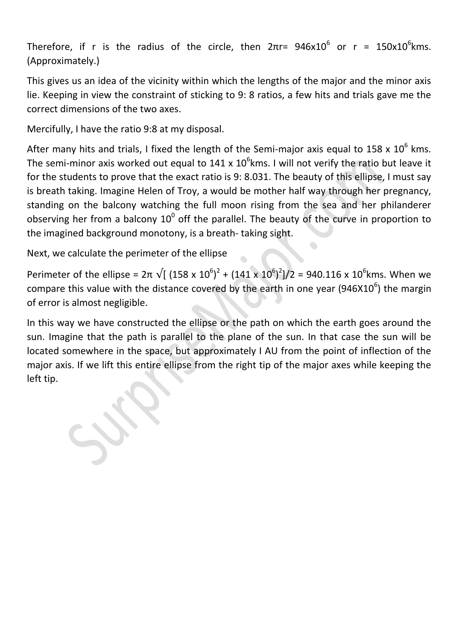Therefore, if r is the radius of the circle, then  $2\pi$ r=  $946x10^6$  or r =  $150x10^6$ kms. (Approximately.)

This gives us an idea of the vicinity within which the lengths of the major and the minor axis lie. Keeping in view the constraint of sticking to 9: 8 ratios, a few hits and trials gave me the correct dimensions of the two axes.

Mercifully, I have the ratio 9:8 at my disposal.

After many hits and trials, I fixed the length of the Semi-major axis equal to 158 x  $10^6$  kms. The semi-minor axis worked out equal to 141 x 10<sup>6</sup>kms. I will not verify the ratio but leave it for the students to prove that the exact ratio is 9: 8.031. The beauty of this ellipse, I must say is breath taking. Imagine Helen of Troy, a would be mother half way through her pregnancy, standing on the balcony watching the full moon rising from the sea and her philanderer observing her from a balcony  $10^0$  off the parallel. The beauty of the curve in proportion to the imagined background monotony, is a breath- taking sight.

Next, we calculate the perimeter of the ellipse

Perimeter of the ellipse = 2π  $\sqrt{(158 \times 10^6)^2 + (141 \times 10^6)^2)/2}$  = 940.116 x 10<sup>6</sup>kms. When we compare this value with the distance covered by the earth in one year (946X10<sup>6</sup>) the margin of error is almost negligible.

In this way we have constructed the ellipse or the path on which the earth goes around the sun. Imagine that the path is parallel to the plane of the sun. In that case the sun will be located somewhere in the space, but approximately I AU from the point of inflection of the major axis. If we lift this entire ellipse from the right tip of the major axes while keeping the left tip.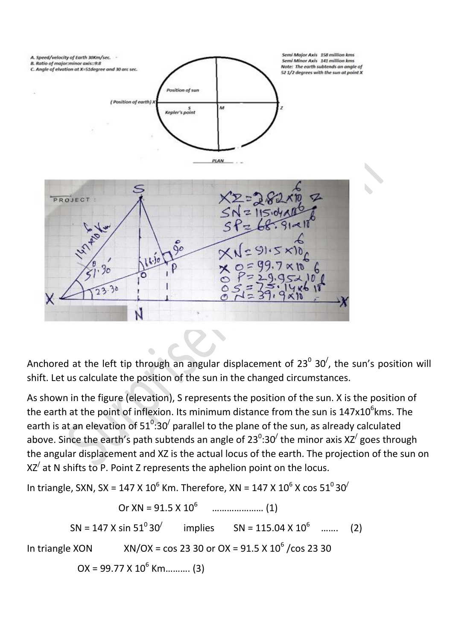

Anchored at the left tip through an angular displacement of 23<sup>0</sup> 30<sup>/</sup>, the sun's position will shift. Let us calculate the position of the sun in the changed circumstances.

As shown in the figure (elevation), S represents the position of the sun. X is the position of the earth at the point of inflexion. Its minimum distance from the sun is  $147 \times 10^6$ kms. The earth is at an elevation of 51 $^0$ :30<sup>/</sup> parallel to the plane of the sun, as already calculated above. Since the earth's path subtends an angle of 23<sup>0</sup>:30<sup>/</sup> the minor axis XZ<sup>/</sup> goes through the angular displacement and XZ is the actual locus of the earth. The projection of the sun on  $XZ'$  at N shifts to P. Point Z represents the aphelion point on the locus.

In triangle, SXN, SX = 147 X 10<sup>6</sup> Km. Therefore, XN = 147 X 10<sup>6</sup> X cos 51<sup>0</sup> 30<sup>/</sup>

 Or XN = 91.5 X 10<sup>6</sup> ………………… (1)  $SN = 147 X \sin 51^\circ 30'$  implies  $SN = 115.04 \times 10^6$  ....... (2) In triangle XON  $XN/OX = \cos 23$  30 or  $OX = 91.5 \times 10^6 / \cos 23$  30  $OX = 99.77 X 10<sup>6</sup> Km... (3)$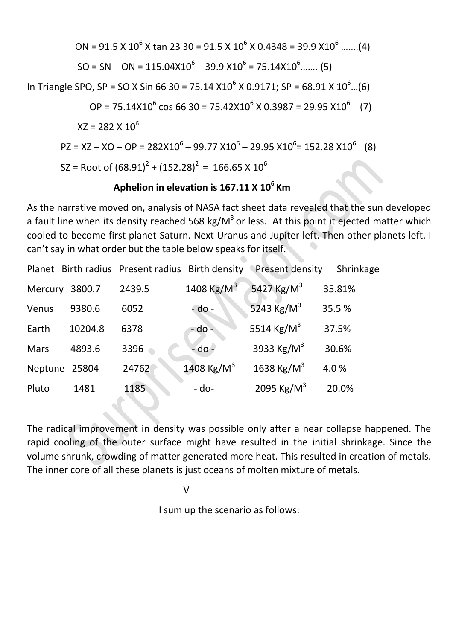ON = 91.5 X 10<sup>6</sup> X tan 23 30 = 91.5 X 10<sup>6</sup> X 0.4348 = 39.9 X10<sup>6</sup> …….(4) SO = SN – ON = 115.04X10<sup>6</sup> – 39.9 X10<sup>6</sup> = 75.14X10<sup>6</sup>……. (5)

In Triangle SPO, SP = SO X Sin 66 30 = 75.14 X10<sup>6</sup> X 0.9171; SP = 68.91 X 10<sup>6</sup>...(6)

$$
OP = 75.14 \times 10^6 \cos 66 \cdot 30 = 75.42 \times 10^6 \times 0.3987 = 29.95 \times 10^6 \quad (7)
$$

 $XZ = 282 \times 10^6$ 

$$
PZ = XZ - XO - OP = 282X10^{6} - 99.77 X10^{6} - 29.95 X10^{6} = 152.28 X10^{6} \text{ ... } (8)
$$
  
\n
$$
SZ = Root of (68.91)^{2} + (152.28)^{2} = 166.65 X 10^{6}
$$

## **Aphelion in elevation is 167.11 X 10<sup>6</sup>Km**

As the narrative moved on, analysis of NASA fact sheet data revealed that the sun developed a fault line when its density reached 568 kg/ $M^3$  or less. At this point it ejected matter which cooled to become first planet-Saturn. Next Uranus and Jupiter left. Then other planets left. I can't say in what order but the table below speaks for itself.

|             |         | Planet Birth radius Present radius Birth density |                        | Present density        | Shrinkage |
|-------------|---------|--------------------------------------------------|------------------------|------------------------|-----------|
| Mercury     | 3800.7  | 2439.5                                           | 1408 Kg/M <sup>3</sup> | 5427 Kg/M <sup>3</sup> | 35.81%    |
| Venus       | 9380.6  | 6052                                             | $-do -$                | 5243 $\text{Kg/M}^3$   | 35.5%     |
| Earth       | 10204.8 | 6378                                             | - do -                 | 5514 Kg/M <sup>3</sup> | 37.5%     |
| <b>Mars</b> | 4893.6  | 3396                                             | $-do -$                | 3933 Kg/M <sup>3</sup> | 30.6%     |
| Neptune     | 25804   | 24762                                            | 1408 Kg/M <sup>3</sup> | 1638 Kg/M <sup>3</sup> | 4.0%      |
| Pluto       | 1481    | 1185                                             | - do-                  | 2095 Kg/M <sup>3</sup> | 20.0%     |

The radical improvement in density was possible only after a near collapse happened. The rapid cooling of the outer surface might have resulted in the initial shrinkage. Since the volume shrunk, crowding of matter generated more heat. This resulted in creation of metals. The inner core of all these planets is just oceans of molten mixture of metals.

V

I sum up the scenario as follows: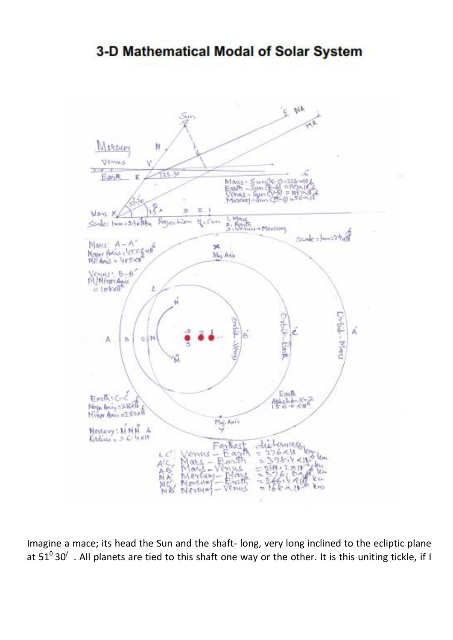# 3-D Mathematical Modal of Solar System



Imagine a mace; its head the Sun and the shaft- long, very long inclined to the ecliptic plane at  $51^030'$  . All planets are tied to this shaft one way or the other. It is this uniting tickle, if I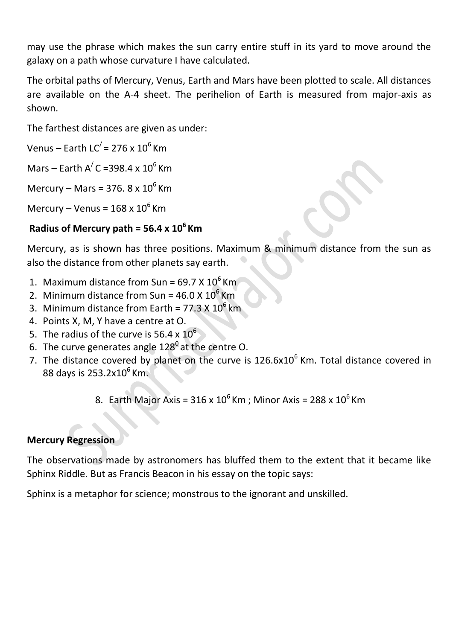may use the phrase which makes the sun carry entire stuff in its yard to move around the galaxy on a path whose curvature I have calculated.

The orbital paths of Mercury, Venus, Earth and Mars have been plotted to scale. All distances are available on the A-4 sheet. The perihelion of Earth is measured from major-axis as shown.

The farthest distances are given as under:

Venus – Earth LC $/$  = 276 x 10<sup>6</sup> Km

Mars – Farth A $\text{/ C}$  =398.4 x 10<sup>6</sup> Km

Mercury – Mars = 376.  $8 \times 10^6$  Km

Mercury – Venus =  $168 \times 10^6$  Km

## **Radius of Mercury path = 56.4 x 10<sup>6</sup>Km**

Mercury, as is shown has three positions. Maximum & minimum distance from the sun as also the distance from other planets say earth.

- 1. Maximum distance from Sun =  $69.7 \times 10^6$  Km
- 2. Minimum distance from Sun =  $46.0 \times 10^6$  Km
- 3. Minimum distance from Earth =  $77.3 \times 10^6$  km
- 4. Points X, M, Y have a centre at O.
- 5. The radius of the curve is 56.4  $\times$  10<sup>6</sup>
- 6. The curve generates angle  $128^{\circ}$  at the centre O.
- 7. The distance covered by planet on the curve is  $126.6x10^6$  Km. Total distance covered in 88 days is 253.2x10<sup>6</sup> Km.

8. Earth Major Axis =  $316 \times 10^6$  Km; Minor Axis =  $288 \times 10^6$  Km

## **Mercury Regression**

The observations made by astronomers has bluffed them to the extent that it became like Sphinx Riddle. But as Francis Beacon in his essay on the topic says:

Sphinx is a metaphor for science; monstrous to the ignorant and unskilled.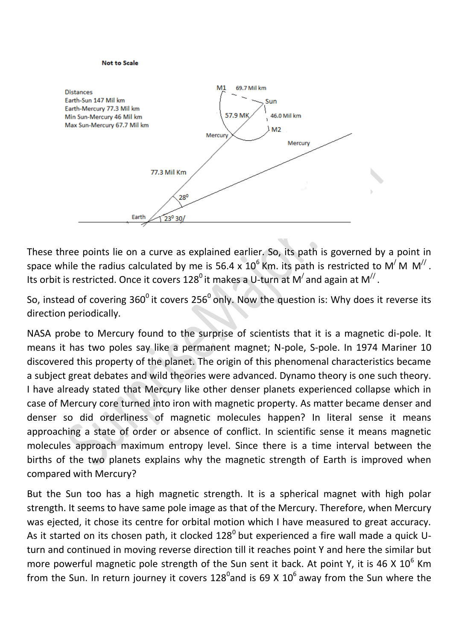#### **Not to Scale**



These three points lie on a curve as explained earlier. So, its path is governed by a point in space while the radius calculated by me is 56.4 x  $10^6$  Km. its path is restricted to M<sup>/</sup> M M<sup>//</sup>. Its orbit is restricted. Once it covers 128<sup>0</sup> it makes a U-turn at M<sup>/</sup> and again at M<sup>//</sup>.

So, instead of covering  $360^{\circ}$  it covers 256 $^{\circ}$  only. Now the question is: Why does it reverse its direction periodically.

NASA probe to Mercury found to the surprise of scientists that it is a magnetic di-pole. It means it has two poles say like a permanent magnet; N-pole, S-pole. In 1974 Mariner 10 discovered this property of the planet. The origin of this phenomenal characteristics became a subject great debates and wild theories were advanced. Dynamo theory is one such theory. I have already stated that Mercury like other denser planets experienced collapse which in case of Mercury core turned into iron with magnetic property. As matter became denser and denser so did orderliness of magnetic molecules happen? In literal sense it means approaching a state of order or absence of conflict. In scientific sense it means magnetic molecules approach maximum entropy level. Since there is a time interval between the births of the two planets explains why the magnetic strength of Earth is improved when compared with Mercury?

But the Sun too has a high magnetic strength. It is a spherical magnet with high polar strength. It seems to have same pole image as that of the Mercury. Therefore, when Mercury was ejected, it chose its centre for orbital motion which I have measured to great accuracy. As it started on its chosen path, it clocked  $128^{\circ}$  but experienced a fire wall made a quick Uturn and continued in moving reverse direction till it reaches point Y and here the similar but more powerful magnetic pole strength of the Sun sent it back. At point Y, it is 46 X  $10^6$  Km from the Sun. In return journey it covers 128<sup>0</sup>and is 69 X 10<sup>6</sup> away from the Sun where the